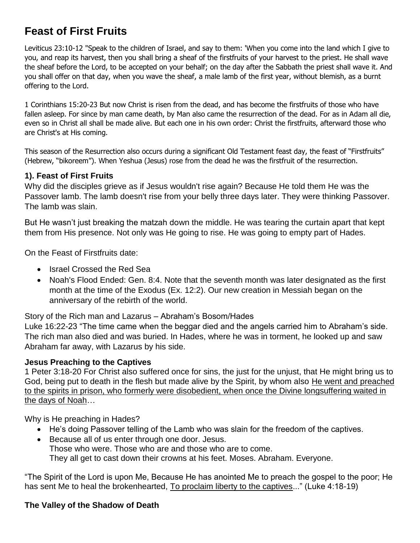# **Feast of First Fruits**

Leviticus 23:10-12 "Speak to the children of Israel, and say to them: 'When you come into the land which I give to you, and reap its harvest, then you shall bring a sheaf of the firstfruits of your harvest to the priest. He shall wave the sheaf before the Lord, to be accepted on your behalf; on the day after the Sabbath the priest shall wave it. And you shall offer on that day, when you wave the sheaf, a male lamb of the first year, without blemish, as a burnt offering to the Lord.

1 Corinthians 15:20-23 But now Christ is risen from the dead, and has become the firstfruits of those who have fallen asleep. For since by man came death, by Man also came the resurrection of the dead. For as in Adam all die, even so in Christ all shall be made alive. But each one in his own order: Christ the firstfruits, afterward those who are Christ's at His coming.

This season of the Resurrection also occurs during a significant Old Testament feast day, the feast of "Firstfruits" (Hebrew, "bikoreem"). When Yeshua (Jesus) rose from the dead he was the firstfruit of the resurrection.

# **1). Feast of First Fruits**

Why did the disciples grieve as if Jesus wouldn't rise again? Because He told them He was the Passover lamb. The lamb doesn't rise from your belly three days later. They were thinking Passover. The lamb was slain.

But He wasn't just breaking the matzah down the middle. He was tearing the curtain apart that kept them from His presence. Not only was He going to rise. He was going to empty part of Hades.

On the Feast of Firstfruits date:

- Israel Crossed the Red Sea
- Noah's Flood Ended: Gen. 8:4. Note that the seventh month was later designated as the first month at the time of the Exodus (Ex. 12:2). Our new creation in Messiah began on the anniversary of the rebirth of the world.

Story of the Rich man and Lazarus – Abraham's Bosom/Hades

Luke 16:22-23 "The time came when the beggar died and the angels carried him to Abraham's side. The rich man also died and was buried. In Hades, where he was in torment, he looked up and saw Abraham far away, with Lazarus by his side.

# **Jesus Preaching to the Captives**

1 Peter 3:18-20 For Christ also suffered once for sins, the just for the unjust, that He might bring us to God, being put to death in the flesh but made alive by the Spirit, by whom also He went and preached to the spirits in prison, who formerly were disobedient, when once the Divine longsuffering waited in the days of Noah…

Why is He preaching in Hades?

- He's doing Passover telling of the Lamb who was slain for the freedom of the captives.
- Because all of us enter through one door. Jesus. Those who were. Those who are and those who are to come. They all get to cast down their crowns at his feet. Moses. Abraham. Everyone.

"The Spirit of the Lord is upon Me, Because He has anointed Me to preach the gospel to the poor; He has sent Me to heal the brokenhearted, To proclaim liberty to the captives..." (Luke 4:18-19)

# **The Valley of the Shadow of Death**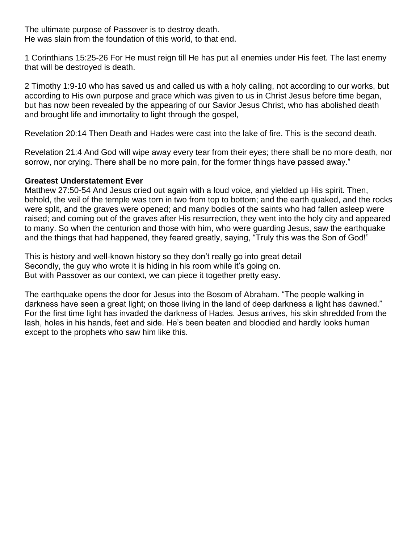The ultimate purpose of Passover is to destroy death. He was slain from the foundation of this world, to that end.

1 Corinthians 15:25-26 For He must reign till He has put all enemies under His feet. The last enemy that will be destroyed is death.

2 Timothy 1:9-10 who has saved us and called us with a holy calling, not according to our works, but according to His own purpose and grace which was given to us in Christ Jesus before time began, but has now been revealed by the appearing of our Savior Jesus Christ, who has abolished death and brought life and immortality to light through the gospel,

Revelation 20:14 Then Death and Hades were cast into the lake of fire. This is the second death.

Revelation 21:4 And God will wipe away every tear from their eyes; there shall be no more death, nor sorrow, nor crying. There shall be no more pain, for the former things have passed away."

#### **Greatest Understatement Ever**

Matthew 27:50-54 And Jesus cried out again with a loud voice, and yielded up His spirit. Then, behold, the veil of the temple was torn in two from top to bottom; and the earth quaked, and the rocks were split, and the graves were opened; and many bodies of the saints who had fallen asleep were raised; and coming out of the graves after His resurrection, they went into the holy city and appeared to many. So when the centurion and those with him, who were guarding Jesus, saw the earthquake and the things that had happened, they feared greatly, saying, "Truly this was the Son of God!"

This is history and well-known history so they don't really go into great detail Secondly, the guy who wrote it is hiding in his room while it's going on. But with Passover as our context, we can piece it together pretty easy.

The earthquake opens the door for Jesus into the Bosom of Abraham. "The people walking in darkness have seen a great light; on those living in the land of deep darkness a light has dawned." For the first time light has invaded the darkness of Hades. Jesus arrives, his skin shredded from the lash, holes in his hands, feet and side. He's been beaten and bloodied and hardly looks human except to the prophets who saw him like this.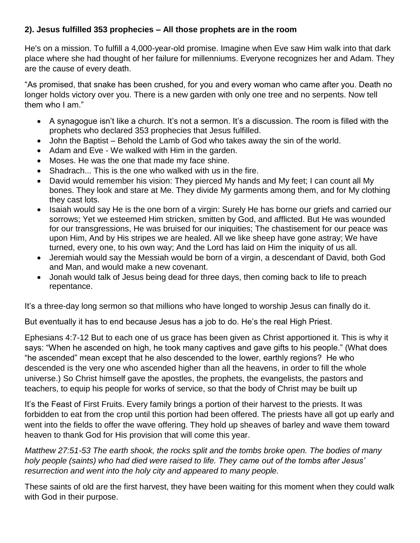# **2). Jesus fulfilled 353 prophecies – All those prophets are in the room**

He's on a mission. To fulfill a 4,000-year-old promise. Imagine when Eve saw Him walk into that dark place where she had thought of her failure for millenniums. Everyone recognizes her and Adam. They are the cause of every death.

"As promised, that snake has been crushed, for you and every woman who came after you. Death no longer holds victory over you. There is a new garden with only one tree and no serpents. Now tell them who I am."

- A synagogue isn't like a church. It's not a sermon. It's a discussion. The room is filled with the prophets who declared 353 prophecies that Jesus fulfilled.
- John the Baptist Behold the Lamb of God who takes away the sin of the world.
- Adam and Eve We walked with Him in the garden.
- Moses. He was the one that made my face shine.
- Shadrach... This is the one who walked with us in the fire.
- David would remember his vision: They pierced My hands and My feet; I can count all My bones. They look and stare at Me. They divide My garments among them, and for My clothing they cast lots.
- Isaiah would say He is the one born of a virgin: Surely He has borne our griefs and carried our sorrows; Yet we esteemed Him stricken, smitten by God, and afflicted. But He was wounded for our transgressions, He was bruised for our iniquities; The chastisement for our peace was upon Him, And by His stripes we are healed. All we like sheep have gone astray; We have turned, every one, to his own way; And the Lord has laid on Him the iniquity of us all.
- Jeremiah would say the Messiah would be born of a virgin, a descendant of David, both God and Man, and would make a new covenant.
- Jonah would talk of Jesus being dead for three days, then coming back to life to preach repentance.

It's a three-day long sermon so that millions who have longed to worship Jesus can finally do it.

But eventually it has to end because Jesus has a job to do. He's the real High Priest.

Ephesians 4:7-12 But to each one of us grace has been given as Christ apportioned it. This is why it says: "When he ascended on high, he took many captives and gave gifts to his people." (What does "he ascended" mean except that he also descended to the lower, earthly regions? He who descended is the very one who ascended higher than all the heavens, in order to fill the whole universe.) So Christ himself gave the apostles, the prophets, the evangelists, the pastors and teachers, to equip his people for works of service, so that the body of Christ may be built up

It's the Feast of First Fruits. Every family brings a portion of their harvest to the priests. It was forbidden to eat from the crop until this portion had been offered. The priests have all got up early and went into the fields to offer the wave offering. They hold up sheaves of barley and wave them toward heaven to thank God for His provision that will come this year.

*Matthew 27:51-53 The earth shook, the rocks split and the tombs broke open. The bodies of many holy people (saints) who had died were raised to life. They came out of the tombs after Jesus' resurrection and went into the holy city and appeared to many people.*

These saints of old are the first harvest, they have been waiting for this moment when they could walk with God in their purpose.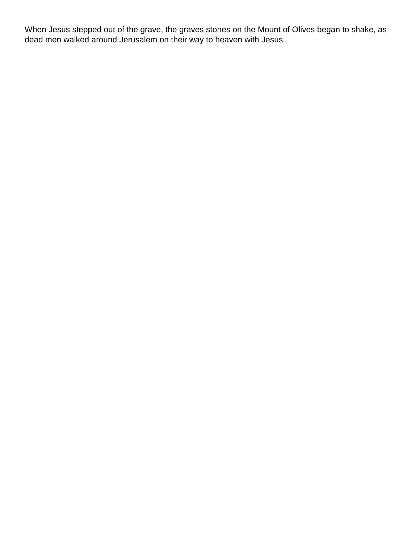When Jesus stepped out of the grave, the graves stones on the Mount of Olives began to shake, as dead men walked around Jerusalem on their way to heaven with Jesus.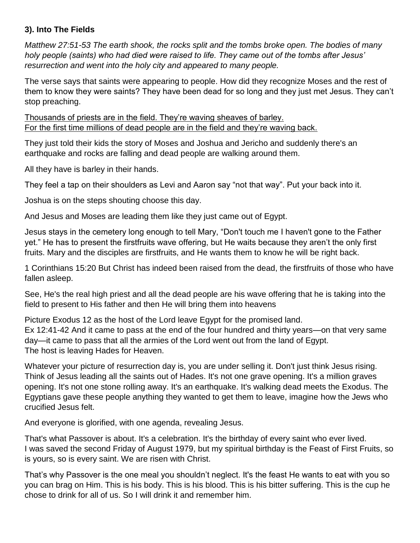# **3). Into The Fields**

*Matthew 27:51-53 The earth shook, the rocks split and the tombs broke open. The bodies of many holy people (saints) who had died were raised to life. They came out of the tombs after Jesus' resurrection and went into the holy city and appeared to many people.*

The verse says that saints were appearing to people. How did they recognize Moses and the rest of them to know they were saints? They have been dead for so long and they just met Jesus. They can't stop preaching.

Thousands of priests are in the field. They're waving sheaves of barley. For the first time millions of dead people are in the field and they're waving back.

They just told their kids the story of Moses and Joshua and Jericho and suddenly there's an earthquake and rocks are falling and dead people are walking around them.

All they have is barley in their hands.

They feel a tap on their shoulders as Levi and Aaron say "not that way". Put your back into it.

Joshua is on the steps shouting choose this day.

And Jesus and Moses are leading them like they just came out of Egypt.

Jesus stays in the cemetery long enough to tell Mary, "Don't touch me I haven't gone to the Father yet." He has to present the firstfruits wave offering, but He waits because they aren't the only first fruits. Mary and the disciples are firstfruits, and He wants them to know he will be right back.

1 Corinthians 15:20 But Christ has indeed been raised from the dead, the firstfruits of those who have fallen asleep.

See, He's the real high priest and all the dead people are his wave offering that he is taking into the field to present to His father and then He will bring them into heavens

Picture Exodus 12 as the host of the Lord leave Egypt for the promised land. Ex 12:41-42 And it came to pass at the end of the four hundred and thirty years—on that very same day—it came to pass that all the armies of the Lord went out from the land of Egypt. The host is leaving Hades for Heaven.

Whatever your picture of resurrection day is, you are under selling it. Don't just think Jesus rising. Think of Jesus leading all the saints out of Hades. It's not one grave opening. It's a million graves opening. It's not one stone rolling away. It's an earthquake. It's walking dead meets the Exodus. The Egyptians gave these people anything they wanted to get them to leave, imagine how the Jews who crucified Jesus felt.

And everyone is glorified, with one agenda, revealing Jesus.

That's what Passover is about. It's a celebration. It's the birthday of every saint who ever lived. I was saved the second Friday of August 1979, but my spiritual birthday is the Feast of First Fruits, so is yours, so is every saint. We are risen with Christ.

That's why Passover is the one meal you shouldn't neglect. It's the feast He wants to eat with you so you can brag on Him. This is his body. This is his blood. This is his bitter suffering. This is the cup he chose to drink for all of us. So I will drink it and remember him.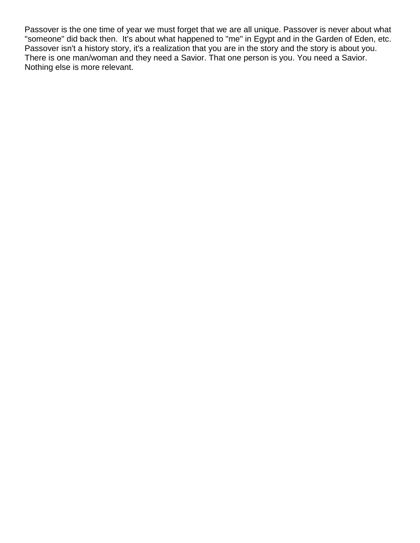Passover is the one time of year we must forget that we are all unique. Passover is never about what "someone" did back then. It's about what happened to "me" in Egypt and in the Garden of Eden, etc. Passover isn't a history story, it's a realization that you are in the story and the story is about you. There is one man/woman and they need a Savior. That one person is you. You need a Savior. Nothing else is more relevant.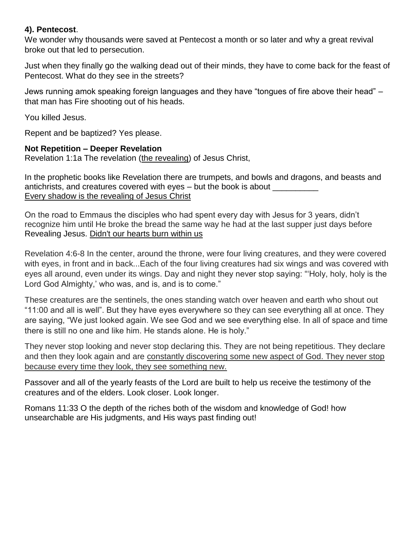#### **4). Pentecost**.

We wonder why thousands were saved at Pentecost a month or so later and why a great revival broke out that led to persecution.

Just when they finally go the walking dead out of their minds, they have to come back for the feast of Pentecost. What do they see in the streets?

Jews running amok speaking foreign languages and they have "tongues of fire above their head" – that man has Fire shooting out of his heads.

You killed Jesus.

Repent and be baptized? Yes please.

### **Not Repetition – Deeper Revelation**

Revelation 1:1a The revelation (the revealing) of Jesus Christ,

In the prophetic books like Revelation there are trumpets, and bowls and dragons, and beasts and antichrists, and creatures covered with eyes – but the book is about \_\_\_\_\_\_\_\_\_\_\_ Every shadow is the revealing of Jesus Christ

On the road to Emmaus the disciples who had spent every day with Jesus for 3 years, didn't recognize him until He broke the bread the same way he had at the last supper just days before Revealing Jesus. Didn't our hearts burn within us

Revelation 4:6-8 In the center, around the throne, were four living creatures, and they were covered with eyes, in front and in back...Each of the four living creatures had six wings and was covered with eyes all around, even under its wings. Day and night they never stop saying: "'Holy, holy, holy is the Lord God Almighty,' who was, and is, and is to come."

These creatures are the sentinels, the ones standing watch over heaven and earth who shout out "11:00 and all is well". But they have eyes everywhere so they can see everything all at once. They are saying, "We just looked again. We see God and we see everything else. In all of space and time there is still no one and like him. He stands alone. He is holy."

They never stop looking and never stop declaring this. They are not being repetitious. They declare and then they look again and are constantly discovering some new aspect of God. They never stop because every time they look, they see something new.

Passover and all of the yearly feasts of the Lord are built to help us receive the testimony of the creatures and of the elders. Look closer. Look longer.

Romans 11:33 O the depth of the riches both of the wisdom and knowledge of God! how unsearchable are His judgments, and His ways past finding out!